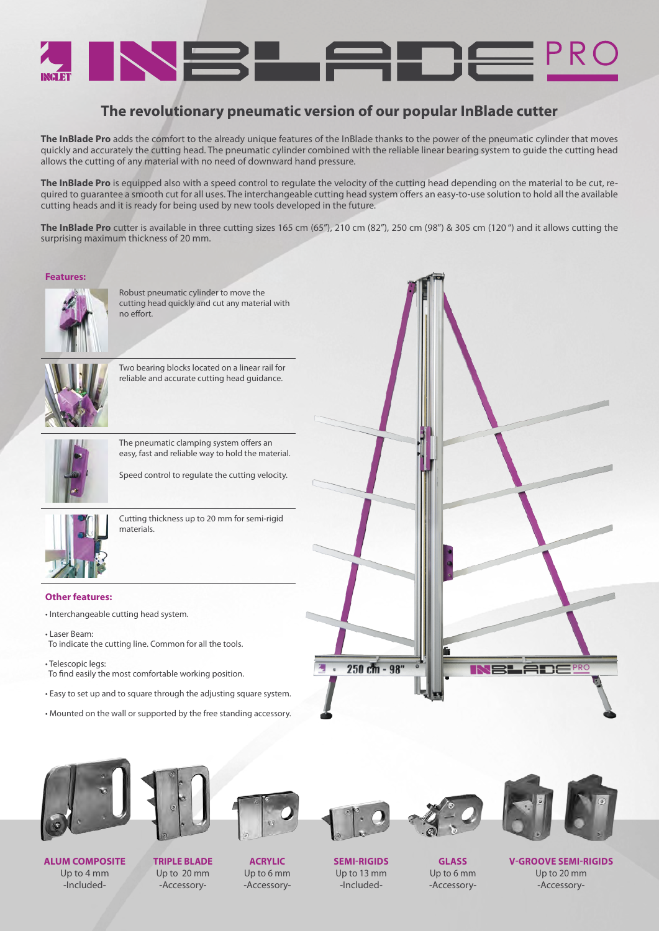

# **The revolutionary pneumatic version of our popular InBlade cutter**

**The InBlade Pro** adds the comfort to the already unique features of the InBlade thanks to the power of the pneumatic cylinder that moves quickly and accurately the cutting head. The pneumatic cylinder combined with the reliable linear bearing system to guide the cutting head allows the cutting of any material with no need of downward hand pressure.

**The InBlade Pro** is equipped also with a speed control to regulate the velocity of the cutting head depending on the material to be cut, required to guarantee a smooth cut for all uses. The interchangeable cutting head system offers an easy-to-use solution to hold all the available cutting heads and it is ready for being used by new tools developed in the future.

**The InBlade Pro** cutter is available in three cutting sizes 165 cm (65"), 210 cm (82"), 250 cm (98") & 305 cm (120 ") and it allows cutting the surprising maximum thickness of 20 mm.

#### **Features:**



Robust pneumatic cylinder to move the cutting head quickly and cut any material with no effort.

Two bearing blocks located on a linear rail for reliable and accurate cutting head guidance.



The pneumatic clamping system offers an easy, fast and reliable way to hold the material.

Speed control to regulate the cutting velocity.



Cutting thickness up to 20 mm for semi-rigid materials.

### **Other features:**

- Interchangeable cutting head system.
- Laser Beam: To indicate the cutting line. Common for all the tools.
- Telescopic legs: To find easily the most comfortable working position.
- Easy to set up and to square through the adjusting square system.
- Mounted on the wall or supported by the free standing accessory.





**ALUM COMPOSITE** Up to 4 mm -Included-



**TRIPLE BLADE** Up to 20 mm -Accessory-

**ACRYLIC** Up to 6 mm -Accessory-





**GLASS**



**V-GROOVE SEMI-RIGIDS** Up to 20 mm -Accessory-

**SEMI-RIGIDS** Up to 13 mm -Included-

Up to 6 mm -Accessory-